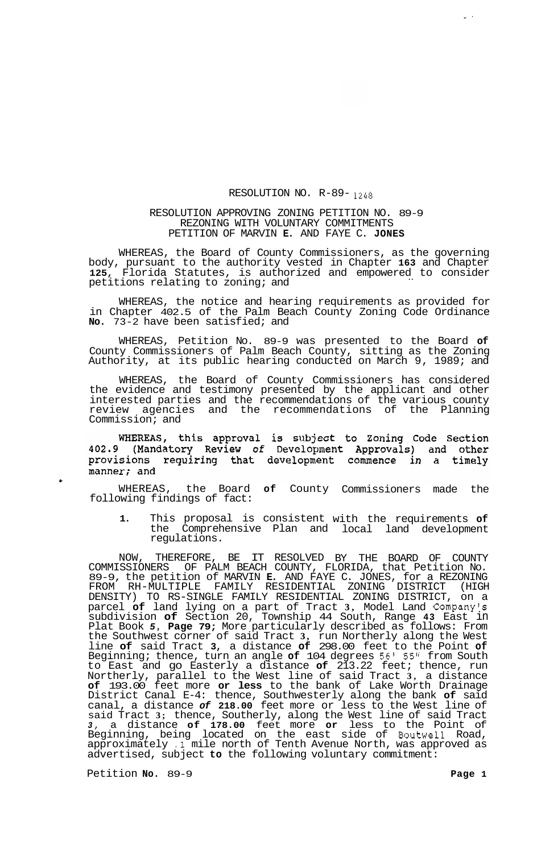## RESOLUTION NO. R-89- *1248*

## RESOLUTION APPROVING ZONING PETITION NO. 89-9 REZONING WITH VOLUNTARY COMMITMENTS PETITION OF MARVIN **E.** AND FAYE C. **JONES**

WHEREAS, the Board of County Commissioners, as the governing body, pursuant to the authority vested in Chapter **163** and Chapter **125,** Florida Statutes, is authorized and empowered to consider<br>petitions relating to zoning; and

WHEREAS, the notice and hearing requirements as provided for in Chapter 402.5 of the Palm Beach County Zoning Code Ordinance **No.** 73-2 have been satisfied; and

WHEREAS, Petition No. 89-9 was presented to the Board **of**  County Commissioners of Palm Beach County, sitting as the Zoning Authority, at its public hearing conducted on March 9, 1989; and

WHEREAS, the Board of County Commissioners has considered the evidence and testimony presented by the applicant and other interested parties and the recommendations of the various county review agencies and the recommendations of the Planning Commission; and

WHEREAS, this approval is subject to Zoning Code Section<br>402.9 (Mandatory Review of Development Approvals) and other provisions requiring that development commence in a timely manner; and

WHEREAS, the Board **of** County Commissioners made the following findings of fact:

**1.** This proposal is consistent with the requirements **of**  the Comprehensive Plan and local land development regulations.

NOW, THEREFORE, BE IT RESOLVED BY THE BOARD OF COUNTY COMMISSIONERS OF PALM BEACH COUNTY, FLORIDA, that Petition No. 89-9, the petition of MARVIN **E.** AND FAYE C. JONES, for a REZONING DENSITY) TO RS-SINGLE FAMILY RESIDENTIAL ZONING DISTRICT, on a parcel **of** land lying on a part of Tract **3,** Model Land Company's subdivision **of** Section 20, Township 44 South, Range **43** East in Plat Book *5,* **Page 79;** More particularly described as follows: From the Southwest corner of said Tract **3,** run Northerly along the West line **of** said Tract **3,** a distance **of** 298.00 feet to the Point **of**  Beginning; thence, turn an angle **of** 104 degrees *56'* 55" from South to East and go Easterly a distance **of** 213.22 feet; thence, run Northerly, parallel to the West line of said Tract **3,** a distance **of** 193.00 feet more **or less** to the bank of Lake Worth Drainage District Canal E-4: thence, Southwesterly along the bank **of** said canal, a distance *of* **218.00** feet more or less to the West line of said Tract **3;** thence, Southerly, along the West line of said Tract *3,* a distance **of 178.00** feet more **or** less to the Point of Beginning, being located on the east side of Boutwell Road, approximately **.1** mile north of Tenth Avenue North, was approved as advertised, subject **to** the following voluntary commitment: FROM RH-MULTIPLE FAMILY RESIDENTIAL ZONING DISTRICT (HIGH

Petition **No.** 89-9 **Page 1** 

*0.* 

 $\omega$   $\rightarrow$